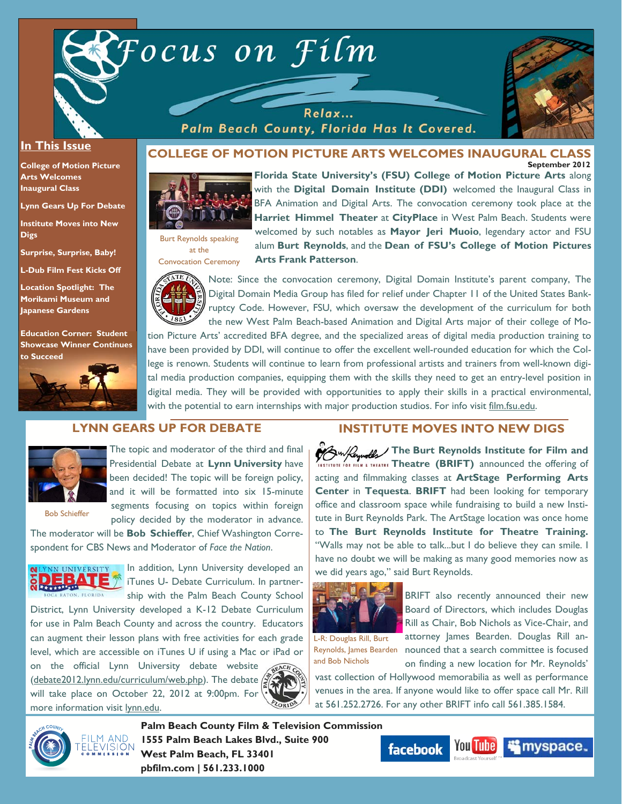

Relax...



#### **In This Issue**

**College of Motion Picture Arts Welcomes Inaugural Class** 

**Lynn Gears Up For Debate** 

**Institute Moves into New Digs** 

**Surprise, Surprise, Baby!** 

**L-Dub Film Fest Kicks Off** 

**Location Spotlight: The Morikami Museum and Japanese Gardens** 

**Education Corner: Student Showcase Winner Continues to Succeed**



# Palm Beach County, Florida Has It Covered.

#### **September 2012 COLLEGE OF MOTION PICTURE ARTS WELCOMES INAUGURAL CLASS**



**Florida State University's (FSU) College of Motion Picture Arts** along with the **Digital Domain Institute (DDI)** welcomed the Inaugural Class in BFA Animation and Digital Arts. The convocation ceremony took place at the **Harriet Himmel Theater** at **CityPlace** in West Palm Beach. Students were welcomed by such notables as **Mayor Jeri Muoio**, legendary actor and FSU alum **Burt Reynolds**, and the **Dean of FSU's College of Motion Pictures Arts Frank Patterson**.



Burt Reynolds speaking at the

> Note: Since the convocation ceremony, Digital Domain Institute's parent company, The Digital Domain Media Group has filed for relief under Chapter 11 of the United States Bankruptcy Code. However, FSU, which oversaw the development of the curriculum for both the new West Palm Beach-based Animation and Digital Arts major of their college of Mo-

tion Picture Arts' accredited BFA degree, and the specialized areas of digital media production training to have been provided by DDI, will continue to offer the excellent well-rounded education for which the College is renown. Students will continue to learn from professional artists and trainers from well-known digital media production companies, equipping them with the skills they need to get an entry-level position in digital media. They will be provided with opportunities to apply their skills in a practical environmental, with the potential to earn internships with major production studios. For info visit film.fsu.edu.

## **LYNN GEARS UP FOR DEBATE**



The topic and moderator of the third and final Presidential Debate at **Lynn University** have been decided! The topic will be foreign policy, and it will be formatted into six 15-minute segments focusing on topics within foreign policy decided by the moderator in advance.

Bob Schieffer

The moderator will be **Bob Schieffer**, Chief Washington Correspondent for CBS News and Moderator of *Face the Nation*.



In addition, Lynn University developed an iTunes U- Debate Curriculum. In partnership with the Palm Beach County School

District, Lynn University developed a K-12 Debate Curriculum for use in Palm Beach County and across the country. Educators can augment their lesson plans with free activities for each grade level, which are accessible on iTunes U if using a Mac or iPad or

on the official Lynn University debate website (debate2012.lynn.edu/curriculum/web.php). The debate will take place on October 22, 2012 at 9:00pm. For more information visit lynn.edu.



## **INSTITUTE MOVES INTO NEW DIGS**

**The Burt Reynolds Institute for Film and** TUTE FOR FILM & THEATRE **Theatre (BRIFT)** announced the offering of acting and filmmaking classes at **ArtStage Performing Arts Center** in **Tequesta**. **BRIFT** had been looking for temporary office and classroom space while fundraising to build a new Institute in Burt Reynolds Park. The ArtStage location was once home to **The Burt Reynolds Institute for Theatre Training.**  "Walls may not be able to talk...but I do believe they can smile. I have no doubt we will be making as many good memories now as we did years ago," said Burt Reynolds.



BRIFT also recently announced their new Board of Directors, which includes Douglas Rill as Chair, Bob Nichols as Vice-Chair, and attorney James Bearden. Douglas Rill an-

Reynolds, James Bearden nounced that a search committee is focused L-R: Douglas Rill, Burt and Bob Nichols

on finding a new location for Mr. Reynolds' vast collection of Hollywood memorabilia as well as performance venues in the area. If anyone would like to offer space call Mr. Rill at 561.252.2726. For any other BRIFT info call 561.385.1584.



**Palm Beach County Film & Television Commission 1555 Palm Beach Lakes Blvd., Suite 900 West Palm Beach, FL 33401 pbfilm.com | 561.233.1000** 

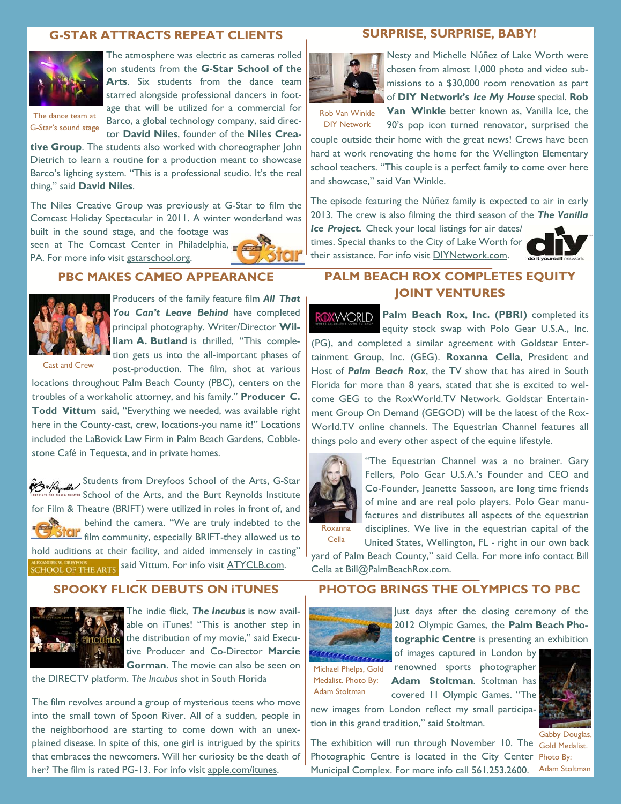## **G-STAR ATTRACTS REPEAT CLIENTS**



The atmosphere was electric as cameras rolled on students from the **G-Star School of the**  Arts. Six students from the dance team starred alongside professional dancers in footage that will be utilized for a commercial for Barco, a global technology company, said director **David Niles**, founder of the **Niles Crea-**

The dance team at G-Star's sound stage

**tive Group**. The students also worked with choreographer John Dietrich to learn a routine for a production meant to showcase Barco's lighting system. "This is a professional studio. It's the real thing," said **David Niles**.

The Niles Creative Group was previously at G-Star to film the Comcast Holiday Spectacular in 2011. A winter wonderland was

built in the sound stage, and the footage was seen at The Comcast Center in Philadelphia, PA. For more info visit gstarschool.org.



#### **PBC MAKES CAMEO APPEARANCE**



Producers of the family feature film *All That*  You Can't Leave Behind have completed principal photography. Writer/Director **William A. Butland** is thrilled, "This completion gets us into the all-important phases of post-production. The film, shot at various

Cast and Crew

locations throughout Palm Beach County (PBC), centers on the troubles of a workaholic attorney, and his family." **Producer C. Todd Vittum** said, "Everything we needed, was available right here in the County-cast, crew, locations-you name it!" Locations included the LaBovick Law Firm in Palm Beach Gardens, Cobblestone Café in Tequesta, and in private homes.

Students from Dreyfoos School of the Arts, G-Star **In the School of the Arts, and the Burt Reynolds Institute** for Film & Theatre (BRIFT) were utilized in roles in front of, and behind the camera. "We are truly indebted to the **ICIF** film community, especially BRIFT-they allowed us to hold auditions at their facility, and aided immensely in casting" ALEXANDER W. DREYFOOS<br>SCHOOL OF THE ARTS Said Vittum. For info visit <u>ATYCLB.com</u>.

#### **SPOOKY FLICK DEBUTS ON iTUNES**



The indie flick, *The Incubus* is now available on iTunes! "This is another step in the distribution of my movie," said Executive Producer and Co-Director **Marcie Gorman**. The movie can also be seen on

the DIRECTV platform. *The Incubus* shot in South Florida

The film revolves around a group of mysterious teens who move into the small town of Spoon River. All of a sudden, people in the neighborhood are starting to come down with an unexplained disease. In spite of this, one girl is intrigued by the spirits that embraces the newcomers. Will her curiosity be the death of her? The film is rated PG-13. For info visit apple.com/itunes.

## **SURPRISE, SURPRISE, BABY!**



Nesty and Michelle Núñez of Lake Worth were chosen from almost 1,000 photo and video submissions to a \$30,000 room renovation as part of **DIY Network's** *Ice My House* special. **Rob** 

Rob Van Winkle DIY Network

**Van Winkle** better known as, Vanilla Ice, the 90's pop icon turned renovator, surprised the couple outside their home with the great news! Crews have been

hard at work renovating the home for the Wellington Elementary school teachers. "This couple is a perfect family to come over here and showcase," said Van Winkle.

The episode featuring the Núñez family is expected to air in early 2013. The crew is also filming the third season of the *The Vanilla* 

*Ice Project.* Check your local listings for air dates/ times. Special thanks to the City of Lake Worth for their assistance. For info visit DIYNetwork.com.



## **PALM BEACH ROX COMPLETES EQUITY JOINT VENTURES**

ROXWORLD **Palm Beach Rox, Inc. (PBRI)** completed its equity stock swap with Polo Gear U.S.A., Inc. (PG), and completed a similar agreement with Goldstar Entertainment Group, Inc. (GEG). **Roxanna Cella**, President and Host of *Palm Beach Rox*, the TV show that has aired in South Florida for more than 8 years, stated that she is excited to welcome GEG to the RoxWorld.TV Network. Goldstar Entertainment Group On Demand (GEGOD) will be the latest of the Rox-World.TV online channels. The Equestrian Channel features all things polo and every other aspect of the equine lifestyle.



"The Equestrian Channel was a no brainer. Gary Fellers, Polo Gear U.S.A.'s Founder and CEO and Co-Founder, Jeanette Sassoon, are long time friends of mine and are real polo players. Polo Gear manufactures and distributes all aspects of the equestrian

disciplines. We live in the equestrian capital of the United States, Wellington, FL - right in our own back Cella

yard of Palm Beach County," said Cella. For more info contact Bill Cella at Bill@PalmBeachRox.com.

## **PHOTOG BRINGS THE OLYMPICS TO PBC**



Just days after the closing ceremony of the 2012 Olympic Games, the **Palm Beach Photographic Centre** is presenting an exhibition

Medalist. Photo By: Adam Stoltman

of images captured in London by Michael Phelps, Gold renowned sports photographer **Adam Stoltman**. Stoltman has covered 11 Olympic Games. "The

new images from London reflect my small participation in this grand tradition," said Stoltman.

Photographic Centre is located in the City Center Municipal Complex. For more info call 561.253.2600.



The exhibition will run through November 10. The Gold Medalist. Gabby Douglas, Photo By: Adam Stoltman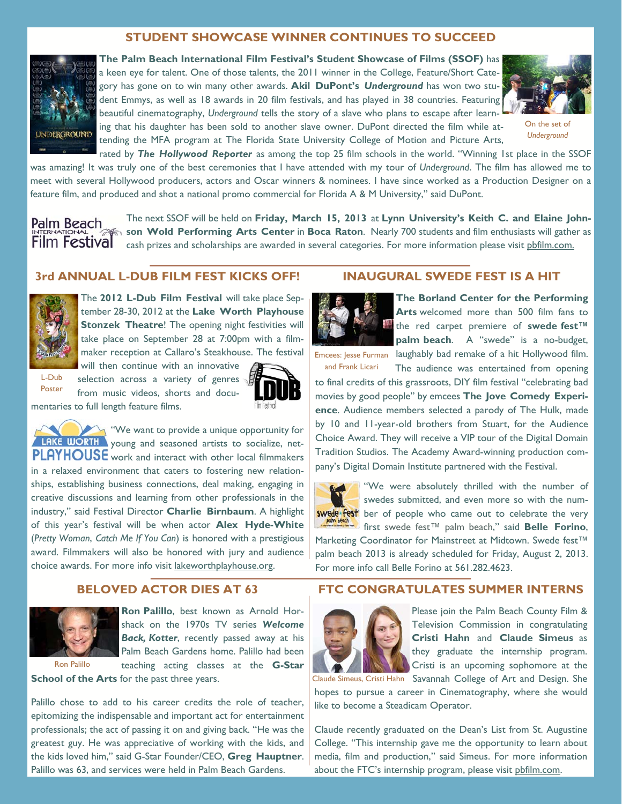## **STUDENT SHOWCASE WINNER CONTINUES TO SUCCEED**



**The Palm Beach International Film Festival's Student Showcase of Films (SSOF)** has a keen eye for talent. One of those talents, the 2011 winner in the College, Feature/Short Category has gone on to win many other awards. **Akil DuPont's** *Underground* has won two student Emmys, as well as 18 awards in 20 film festivals, and has played in 38 countries. Featuring beautiful cinematography, *Underground* tells the story of a slave who plans to escape after learning that his daughter has been sold to another slave owner. DuPont directed the film while attending the MFA program at The Florida State University College of Motion and Picture Arts,



On the set of *Underground*

rated by *The Hollywood Reporter* as among the top 25 film schools in the world. "Winning 1st place in the SSOF was amazing! It was truly one of the best ceremonies that I have attended with my tour of *Underground*. The film has allowed me to meet with several Hollywood producers, actors and Oscar winners & nominees. I have since worked as a Production Designer on a feature film, and produced and shot a national promo commercial for Florida A & M University," said DuPont.

The next SSOF will be held on **Friday, March 15, 2013** at **Lynn University's Keith C. and Elaine John-**Palm Beach **son Wold Performing Arts Center** in **Boca Raton**. Nearly 700 students and film enthusiasts will gather as **Film Festival** cash prizes and scholarships are awarded in several categories. For more information please visit phfilm.com.

### **3rd ANNUAL L-DUB FILM FEST KICKS OFF!**



The **2012 L-Dub Film Festival** will take place September 28-30, 2012 at the **Lake Worth Playhouse Stonzek Theatre!** The opening night festivities will take place on September 28 at 7:00pm with a filmmaker reception at Callaro's Steakhouse. The festival

L-Dub Poster

will then continue with an innovative selection across a variety of genres from music videos, shorts and docu-



mentaries to full length feature films.

"We want to provide a unique opportunity for LAKE WORTH young and seasoned artists to socialize, net-PLAYHOUSE work and interact with other local filmmakers in a relaxed environment that caters to fostering new relationships, establishing business connections, deal making, engaging in creative discussions and learning from other professionals in the industry," said Festival Director **Charlie Birnbaum**. A highlight of this year's festival will be when actor **Alex Hyde-White**  (*Pretty Woman*, *Catch Me If You Can*) is honored with a prestigious award. Filmmakers will also be honored with jury and audience choice awards. For more info visit lakeworthplayhouse.org.

## **BELOVED ACTOR DIES AT 63**



**Ron Palillo**, best known as Arnold Horshack on the 1970s TV series *Welcome Back, Kotter*, recently passed away at his Palm Beach Gardens home. Palillo had been teaching acting classes at the **G-Star** 

Ron Palillo

**School of the Arts** for the past three years.

Palillo chose to add to his career credits the role of teacher, epitomizing the indispensable and important act for entertainment professionals; the act of passing it on and giving back. "He was the greatest guy. He was appreciative of working with the kids, and the kids loved him," said G-Star Founder/CEO, **Greg Hauptner**. Palillo was 63, and services were held in Palm Beach Gardens.

### **INAUGURAL SWEDE FEST IS A HIT**



**The Borland Center for the Performing Arts** welcomed more than 500 film fans to the red carpet premiere of **swede fest™ palm beach**. A "swede" is a no-budget,

and Frank Licari

Emcees: Jesse Furman laughably bad remake of a hit Hollywood film. The audience was entertained from opening

to final credits of this grassroots, DIY film festival "celebrating bad movies by good people" by emcees **The Jove Comedy Experience**. Audience members selected a parody of The Hulk, made by 10 and 11-year-old brothers from Stuart, for the Audience Choice Award. They will receive a VIP tour of the Digital Domain Tradition Studios. The Academy Award-winning production company's Digital Domain Institute partnered with the Festival.



"We were absolutely thrilled with the number of swedes submitted, and even more so with the num**swede fest** ber of people who came out to celebrate the very first swede fest™ palm beach," said **Belle Forino**,

Marketing Coordinator for Mainstreet at Midtown. Swede fest™ palm beach 2013 is already scheduled for Friday, August 2, 2013. For more info call Belle Forino at 561.282.4623.

## **FTC CONGRATULATES SUMMER INTERNS**



Please join the Palm Beach County Film & Television Commission in congratulating **Cristi Hahn** and **Claude Simeus** as they graduate the internship program. Cristi is an upcoming sophomore at the

Claude Simeus, Cristi Hahn Savannah College of Art and Design. She hopes to pursue a career in Cinematography, where she would like to become a Steadicam Operator.

Claude recently graduated on the Dean's List from St. Augustine College. "This internship gave me the opportunity to learn about media, film and production," said Simeus. For more information about the FTC's internship program, please visit pbfilm.com.